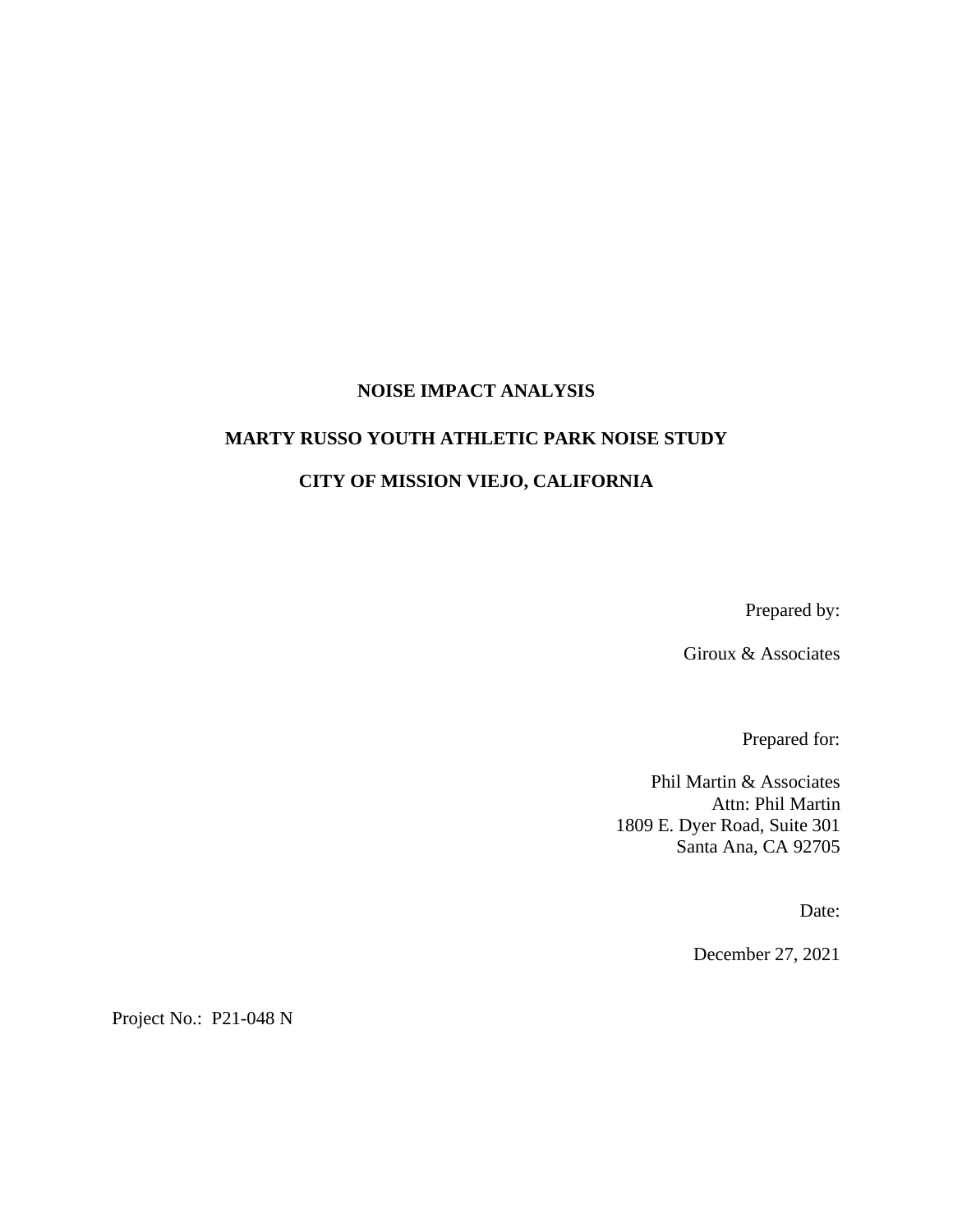### **NOISE IMPACT ANALYSIS**

#### **MARTY RUSSO YOUTH ATHLETIC PARK NOISE STUDY**

### **CITY OF MISSION VIEJO, CALIFORNIA**

Prepared by:

Giroux & Associates

Prepared for:

Phil Martin & Associates Attn: Phil Martin 1809 E. Dyer Road, Suite 301 Santa Ana, CA 92705

Date:

December 27, 2021

Project No.: P21-048 N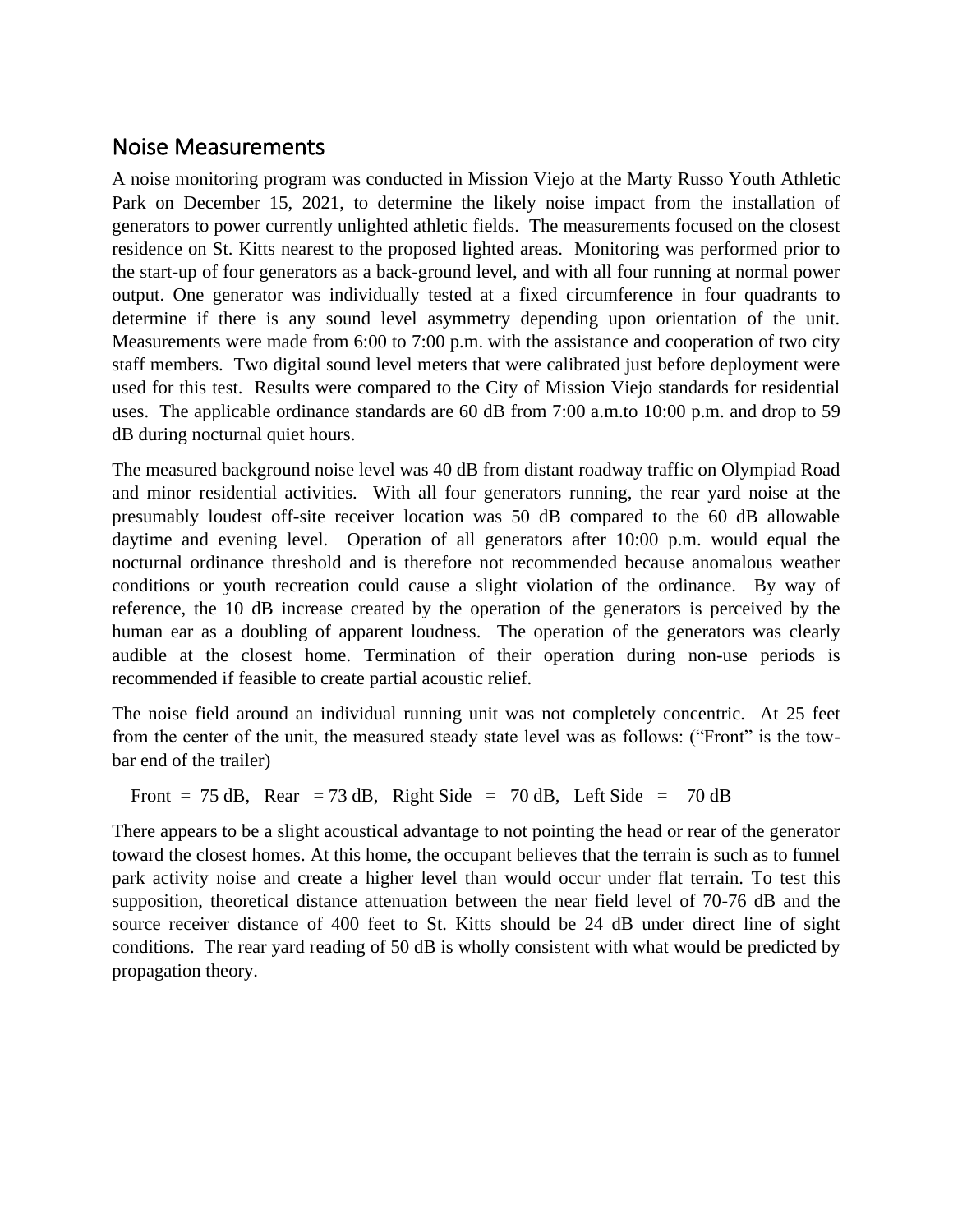## Noise Measurements

A noise monitoring program was conducted in Mission Viejo at the Marty Russo Youth Athletic Park on December 15, 2021, to determine the likely noise impact from the installation of generators to power currently unlighted athletic fields. The measurements focused on the closest residence on St. Kitts nearest to the proposed lighted areas. Monitoring was performed prior to the start-up of four generators as a back-ground level, and with all four running at normal power output. One generator was individually tested at a fixed circumference in four quadrants to determine if there is any sound level asymmetry depending upon orientation of the unit. Measurements were made from 6:00 to 7:00 p.m. with the assistance and cooperation of two city staff members. Two digital sound level meters that were calibrated just before deployment were used for this test. Results were compared to the City of Mission Viejo standards for residential uses. The applicable ordinance standards are 60 dB from 7:00 a.m.to 10:00 p.m. and drop to 59 dB during nocturnal quiet hours.

The measured background noise level was 40 dB from distant roadway traffic on Olympiad Road and minor residential activities. With all four generators running, the rear yard noise at the presumably loudest off-site receiver location was 50 dB compared to the 60 dB allowable daytime and evening level. Operation of all generators after 10:00 p.m. would equal the nocturnal ordinance threshold and is therefore not recommended because anomalous weather conditions or youth recreation could cause a slight violation of the ordinance. By way of reference, the 10 dB increase created by the operation of the generators is perceived by the human ear as a doubling of apparent loudness. The operation of the generators was clearly audible at the closest home. Termination of their operation during non-use periods is recommended if feasible to create partial acoustic relief.

The noise field around an individual running unit was not completely concentric. At 25 feet from the center of the unit, the measured steady state level was as follows: ("Front" is the towbar end of the trailer)

Front = 75 dB, Rear = 73 dB, Right Side = 70 dB, Left Side = 70 dB

There appears to be a slight acoustical advantage to not pointing the head or rear of the generator toward the closest homes. At this home, the occupant believes that the terrain is such as to funnel park activity noise and create a higher level than would occur under flat terrain. To test this supposition, theoretical distance attenuation between the near field level of 70-76 dB and the source receiver distance of 400 feet to St. Kitts should be 24 dB under direct line of sight conditions. The rear yard reading of 50 dB is wholly consistent with what would be predicted by propagation theory.